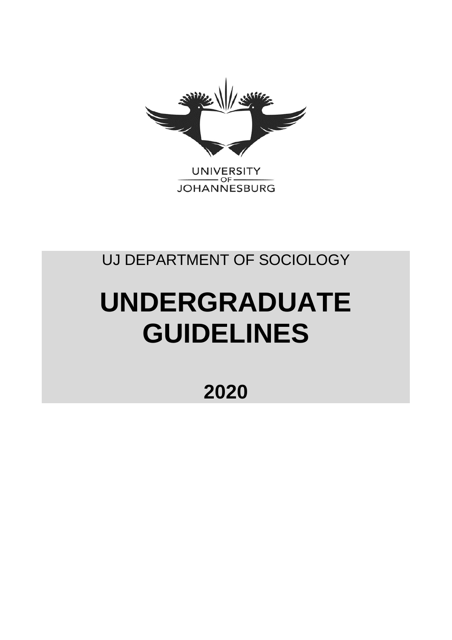

**JOHANNESBURG** 

# UJ DEPARTMENT OF SOCIOLOGY

# **UNDERGRADUATE GUIDELINES**

**2020**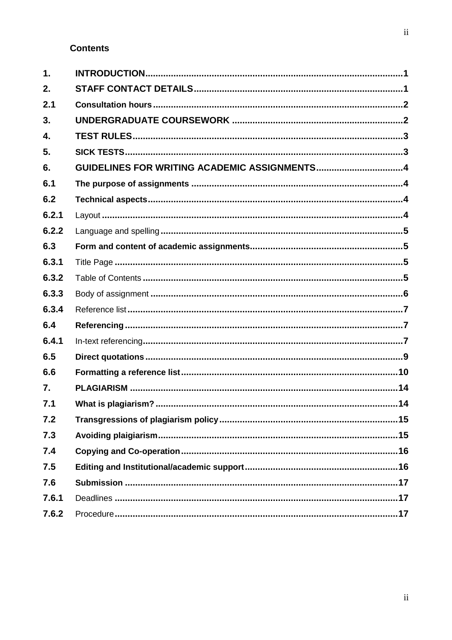# **Contents**

| $\mathbf 1$ .    |                                              |  |
|------------------|----------------------------------------------|--|
| 2.               |                                              |  |
| 2.1              |                                              |  |
| 3.               |                                              |  |
| 4.               |                                              |  |
| 5.               |                                              |  |
| 6.               | GUIDELINES FOR WRITING ACADEMIC ASSIGNMENTS4 |  |
| 6.1              |                                              |  |
| 6.2              |                                              |  |
| 6.2.1            |                                              |  |
| 6.2.2            |                                              |  |
| 6.3              |                                              |  |
| 6.3.1            |                                              |  |
| 6.3.2            |                                              |  |
| 6.3.3            |                                              |  |
| 6.3.4            |                                              |  |
| 6.4              |                                              |  |
| 6.4.1            |                                              |  |
| 6.5              |                                              |  |
| 6.6              |                                              |  |
| $\overline{7}$ . |                                              |  |
| 7.1              |                                              |  |
| 7.2              |                                              |  |
| 7.3              |                                              |  |
| 7.4              |                                              |  |
| 7.5              |                                              |  |
| 7.6              |                                              |  |
| 7.6.1            |                                              |  |
| 7.6.2            |                                              |  |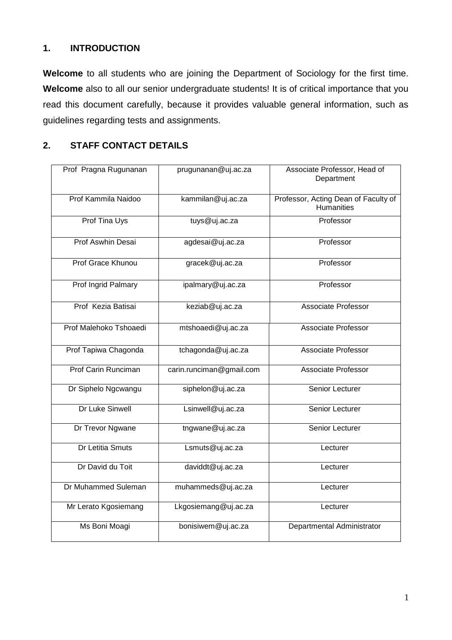# **1. INTRODUCTION**

**Welcome** to all students who are joining the Department of Sociology for the first time. Welcome also to all our senior undergraduate students! It is of critical importance that you read this document carefully, because it provides valuable general information, such as guidelines regarding tests and assignments.

# **2. STAFF CONTACT DETAILS**

| Prof Pragna Rugunanan    | prugunanan@uj.ac.za      | Associate Professor, Head of<br>Department                |
|--------------------------|--------------------------|-----------------------------------------------------------|
| Prof Kammila Naidoo      | kammilan@uj.ac.za        | Professor, Acting Dean of Faculty of<br><b>Humanities</b> |
| Prof Tina Uys            | tuys@uj.ac.za            | Professor                                                 |
| <b>Prof Aswhin Desai</b> | agdesai@uj.ac.za         | Professor                                                 |
| Prof Grace Khunou        | gracek@uj.ac.za          | Professor                                                 |
| Prof Ingrid Palmary      | ipalmary@uj.ac.za        | Professor                                                 |
| Prof Kezia Batisai       | keziab@uj.ac.za          | Associate Professor                                       |
| Prof Malehoko Tshoaedi   | mtshoaedi@uj.ac.za       | <b>Associate Professor</b>                                |
| Prof Tapiwa Chagonda     | tchagonda@uj.ac.za       | Associate Professor                                       |
| Prof Carin Runciman      | carin.runciman@gmail.com | Associate Professor                                       |
| Dr Siphelo Ngcwangu      | siphelon@uj.ac.za        | Senior Lecturer                                           |
| Dr Luke Sinwell          | Lsinwell@uj.ac.za        | Senior Lecturer                                           |
| Dr Trevor Ngwane         | tngwane@uj.ac.za         | Senior Lecturer                                           |
| Dr Letitia Smuts         | Lsmuts@uj.ac.za          | Lecturer                                                  |
| Dr David du Toit         | daviddt@uj.ac.za         | Lecturer                                                  |
| Dr Muhammed Suleman      | muhammeds@uj.ac.za       | Lecturer                                                  |
| Mr Lerato Kgosiemang     | Lkgosiemang@uj.ac.za     | Lecturer                                                  |
| Ms Boni Moagi            | bonisiwem@uj.ac.za       | Departmental Administrator                                |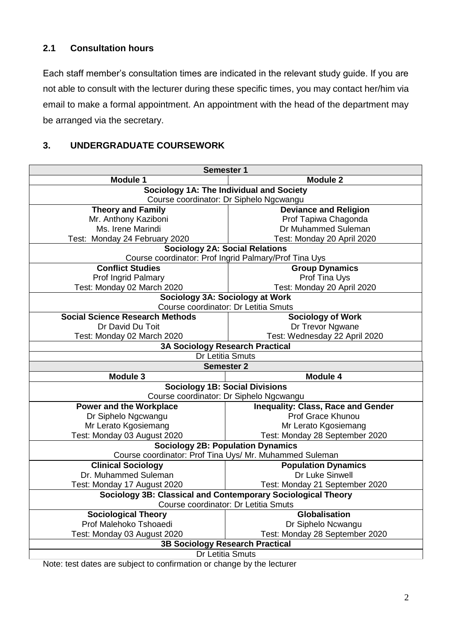# **2.1 Consultation hours**

Each staff member's consultation times are indicated in the relevant study guide. If you are not able to consult with the lecturer during these specific times, you may contact her/him via email to make a formal appointment. An appointment with the head of the department may be arranged via the secretary.

# **3. UNDERGRADUATE COURSEWORK**

|                                                                                | <b>Semester 1</b>                         |  |  |  |  |  |
|--------------------------------------------------------------------------------|-------------------------------------------|--|--|--|--|--|
| <b>Module 1</b>                                                                | <b>Module 2</b>                           |  |  |  |  |  |
| Sociology 1A: The Individual and Society                                       |                                           |  |  |  |  |  |
| Course coordinator: Dr Siphelo Ngcwangu                                        |                                           |  |  |  |  |  |
| <b>Theory and Family</b>                                                       | <b>Deviance and Religion</b>              |  |  |  |  |  |
| Mr. Anthony Kaziboni                                                           | Prof Tapiwa Chagonda                      |  |  |  |  |  |
| Ms. Irene Marindi                                                              | Dr Muhammed Suleman                       |  |  |  |  |  |
| Test: Monday 24 February 2020                                                  | Test: Monday 20 April 2020                |  |  |  |  |  |
| <b>Sociology 2A: Social Relations</b>                                          |                                           |  |  |  |  |  |
| Course coordinator: Prof Ingrid Palmary/Prof Tina Uys                          |                                           |  |  |  |  |  |
| <b>Conflict Studies</b>                                                        | <b>Group Dynamics</b>                     |  |  |  |  |  |
| Prof Ingrid Palmary                                                            | Prof Tina Uys                             |  |  |  |  |  |
| Test: Monday 02 March 2020                                                     | Test: Monday 20 April 2020                |  |  |  |  |  |
| Sociology 3A: Sociology at Work                                                |                                           |  |  |  |  |  |
| Course coordinator: Dr Letitia Smuts<br><b>Social Science Research Methods</b> |                                           |  |  |  |  |  |
|                                                                                | <b>Sociology of Work</b>                  |  |  |  |  |  |
| Dr David Du Toit                                                               | Dr Trevor Ngwane                          |  |  |  |  |  |
| Test: Monday 02 March 2020                                                     | Test: Wednesday 22 April 2020             |  |  |  |  |  |
| <b>3A Sociology Research Practical</b><br>Dr Letitia Smuts                     |                                           |  |  |  |  |  |
| <b>Semester 2</b>                                                              |                                           |  |  |  |  |  |
| Module 3                                                                       | Module 4                                  |  |  |  |  |  |
| <b>Sociology 1B: Social Divisions</b>                                          |                                           |  |  |  |  |  |
| Course coordinator: Dr Siphelo Ngcwangu                                        |                                           |  |  |  |  |  |
| <b>Power and the Workplace</b>                                                 | <b>Inequality: Class, Race and Gender</b> |  |  |  |  |  |
| Dr Siphelo Ngcwangu                                                            | Prof Grace Khunou                         |  |  |  |  |  |
| Mr Lerato Kgosiemang                                                           | Mr Lerato Kgosiemang                      |  |  |  |  |  |
| Test: Monday 03 August 2020                                                    | Test: Monday 28 September 2020            |  |  |  |  |  |
| <b>Sociology 2B: Population Dynamics</b>                                       |                                           |  |  |  |  |  |
| Course coordinator: Prof Tina Uys/ Mr. Muhammed Suleman                        |                                           |  |  |  |  |  |
| <b>Clinical Sociology</b>                                                      | <b>Population Dynamics</b>                |  |  |  |  |  |
| Dr. Muhammed Suleman                                                           | Dr Luke Sinwell                           |  |  |  |  |  |
| Test: Monday 17 August 2020                                                    | Test: Monday 21 September 2020            |  |  |  |  |  |
| Sociology 3B: Classical and Contemporary Sociological Theory                   |                                           |  |  |  |  |  |
| Course coordinator: Dr Letitia Smuts                                           |                                           |  |  |  |  |  |
| <b>Sociological Theory</b>                                                     | Globalisation                             |  |  |  |  |  |
| Prof Malehoko Tshoaedi                                                         | Dr Siphelo Ncwangu                        |  |  |  |  |  |
| Test: Monday 03 August 2020                                                    | Test: Monday 28 September 2020            |  |  |  |  |  |
| <b>3B Sociology Research Practical</b>                                         |                                           |  |  |  |  |  |
| Dr Letitia Smuts                                                               |                                           |  |  |  |  |  |

Note: test dates are subject to confirmation or change by the lecturer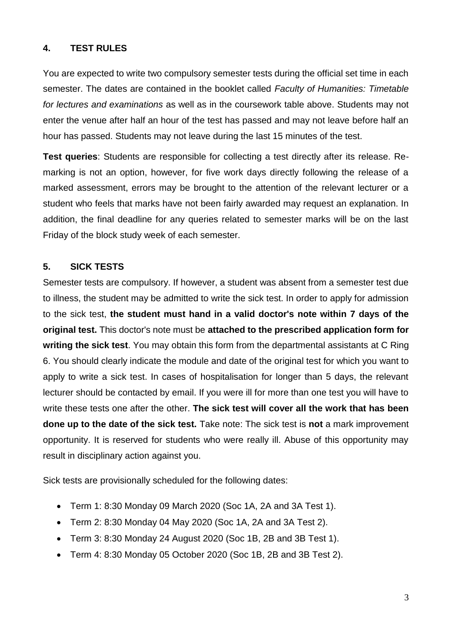# **4. TEST RULES**

You are expected to write two compulsory semester tests during the official set time in each semester. The dates are contained in the booklet called *Faculty of Humanities: Timetable for lectures and examinations* as well as in the coursework table above. Students may not enter the venue after half an hour of the test has passed and may not leave before half an hour has passed. Students may not leave during the last 15 minutes of the test.

**Test queries**: Students are responsible for collecting a test directly after its release. Remarking is not an option, however, for five work days directly following the release of a marked assessment, errors may be brought to the attention of the relevant lecturer or a student who feels that marks have not been fairly awarded may request an explanation. In addition, the final deadline for any queries related to semester marks will be on the last Friday of the block study week of each semester.

#### **5. SICK TESTS**

Semester tests are compulsory. If however, a student was absent from a semester test due to illness, the student may be admitted to write the sick test. In order to apply for admission to the sick test, **the student must hand in a valid doctor's note within 7 days of the original test.** This doctor's note must be **attached to the prescribed application form for writing the sick test**. You may obtain this form from the departmental assistants at C Ring 6. You should clearly indicate the module and date of the original test for which you want to apply to write a sick test. In cases of hospitalisation for longer than 5 days, the relevant lecturer should be contacted by email. If you were ill for more than one test you will have to write these tests one after the other. **The sick test will cover all the work that has been done up to the date of the sick test.** Take note: The sick test is **not** a mark improvement opportunity. It is reserved for students who were really ill. Abuse of this opportunity may result in disciplinary action against you.

Sick tests are provisionally scheduled for the following dates:

- Term 1: 8:30 Monday 09 March 2020 (Soc 1A, 2A and 3A Test 1).
- Term 2: 8:30 Monday 04 May 2020 (Soc 1A, 2A and 3A Test 2).
- Term 3: 8:30 Monday 24 August 2020 (Soc 1B, 2B and 3B Test 1).
- Term 4: 8:30 Monday 05 October 2020 (Soc 1B, 2B and 3B Test 2).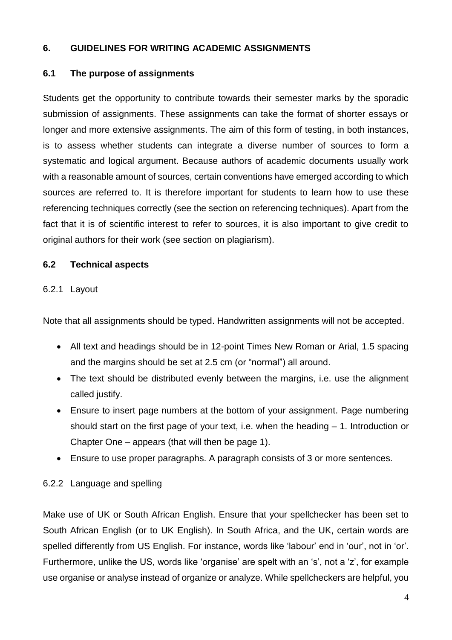# **6. GUIDELINES FOR WRITING ACADEMIC ASSIGNMENTS**

# **6.1 The purpose of assignments**

Students get the opportunity to contribute towards their semester marks by the sporadic submission of assignments. These assignments can take the format of shorter essays or longer and more extensive assignments. The aim of this form of testing, in both instances, is to assess whether students can integrate a diverse number of sources to form a systematic and logical argument. Because authors of academic documents usually work with a reasonable amount of sources, certain conventions have emerged according to which sources are referred to. It is therefore important for students to learn how to use these referencing techniques correctly (see the section on referencing techniques). Apart from the fact that it is of scientific interest to refer to sources, it is also important to give credit to original authors for their work (see section on plagiarism).

# **6.2 Technical aspects**

# 6.2.1 Layout

Note that all assignments should be typed. Handwritten assignments will not be accepted.

- All text and headings should be in 12-point Times New Roman or Arial, 1.5 spacing and the margins should be set at 2.5 cm (or "normal") all around.
- The text should be distributed evenly between the margins, i.e. use the alignment called justify.
- Ensure to insert page numbers at the bottom of your assignment. Page numbering should start on the first page of your text, i.e. when the heading – 1. Introduction or Chapter One – appears (that will then be page 1).
- Ensure to use proper paragraphs. A paragraph consists of 3 or more sentences.

# 6.2.2 Language and spelling

Make use of UK or South African English. Ensure that your spellchecker has been set to South African English (or to UK English). In South Africa, and the UK, certain words are spelled differently from US English. For instance, words like 'labour' end in 'our', not in 'or'. Furthermore, unlike the US, words like 'organise' are spelt with an 's', not a 'z', for example use organise or analyse instead of organize or analyze. While spellcheckers are helpful, you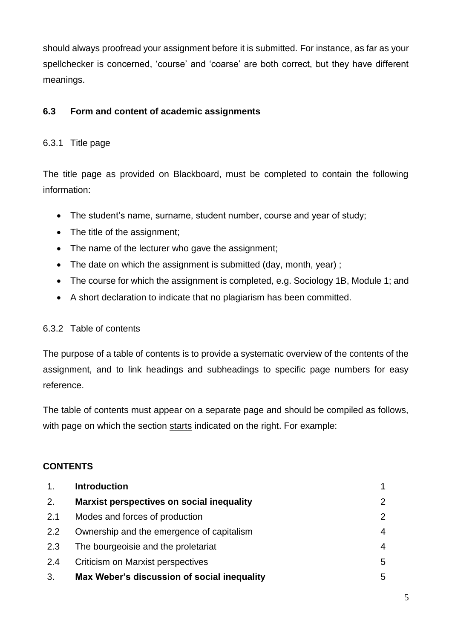should always proofread your assignment before it is submitted. For instance, as far as your spellchecker is concerned, 'course' and 'coarse' are both correct, but they have different meanings.

# **6.3 Form and content of academic assignments**

# 6.3.1 Title page

The title page as provided on Blackboard, must be completed to contain the following information:

- The student's name, surname, student number, course and year of study;
- The title of the assignment;
- The name of the lecturer who gave the assignment;
- The date on which the assignment is submitted (day, month, year) :
- The course for which the assignment is completed, e.g. Sociology 1B, Module 1; and
- A short declaration to indicate that no plagiarism has been committed.

# 6.3.2 Table of contents

The purpose of a table of contents is to provide a systematic overview of the contents of the assignment, and to link headings and subheadings to specific page numbers for easy reference.

The table of contents must appear on a separate page and should be compiled as follows, with page on which the section starts indicated on the right. For example:

# **CONTENTS**

| 1.  | <b>Introduction</b>                         |                |
|-----|---------------------------------------------|----------------|
| 2.  | Marxist perspectives on social inequality   | $\overline{2}$ |
| 2.1 | Modes and forces of production              | 2              |
| 2.2 | Ownership and the emergence of capitalism   | 4              |
| 2.3 | The bourgeoisie and the proletariat         | 4              |
| 2.4 | Criticism on Marxist perspectives           | 5              |
| 3.  | Max Weber's discussion of social inequality | 5              |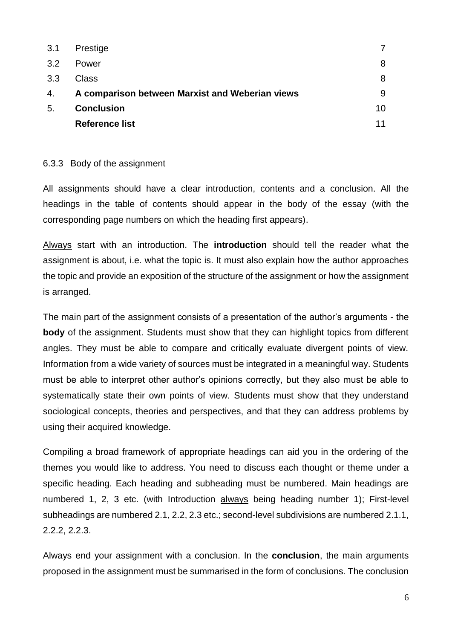| 3.1            | Prestige                                        |    |
|----------------|-------------------------------------------------|----|
| 3.2            | Power                                           | 8  |
| 3.3            | Class                                           | 8  |
| 4.             | A comparison between Marxist and Weberian views | 9  |
| 5 <sub>1</sub> | <b>Conclusion</b>                               | 10 |
|                | <b>Reference list</b>                           | 11 |

#### 6.3.3 Body of the assignment

All assignments should have a clear introduction, contents and a conclusion. All the headings in the table of contents should appear in the body of the essay (with the corresponding page numbers on which the heading first appears).

Always start with an introduction. The **introduction** should tell the reader what the assignment is about, i.e. what the topic is. It must also explain how the author approaches the topic and provide an exposition of the structure of the assignment or how the assignment is arranged.

The main part of the assignment consists of a presentation of the author's arguments - the **body** of the assignment. Students must show that they can highlight topics from different angles. They must be able to compare and critically evaluate divergent points of view. Information from a wide variety of sources must be integrated in a meaningful way. Students must be able to interpret other author's opinions correctly, but they also must be able to systematically state their own points of view. Students must show that they understand sociological concepts, theories and perspectives, and that they can address problems by using their acquired knowledge.

Compiling a broad framework of appropriate headings can aid you in the ordering of the themes you would like to address. You need to discuss each thought or theme under a specific heading. Each heading and subheading must be numbered. Main headings are numbered 1, 2, 3 etc. (with Introduction always being heading number 1); First-level subheadings are numbered 2.1, 2.2, 2.3 etc.; second-level subdivisions are numbered 2.1.1, 2.2.2, 2.2.3.

Always end your assignment with a conclusion. In the **conclusion**, the main arguments proposed in the assignment must be summarised in the form of conclusions. The conclusion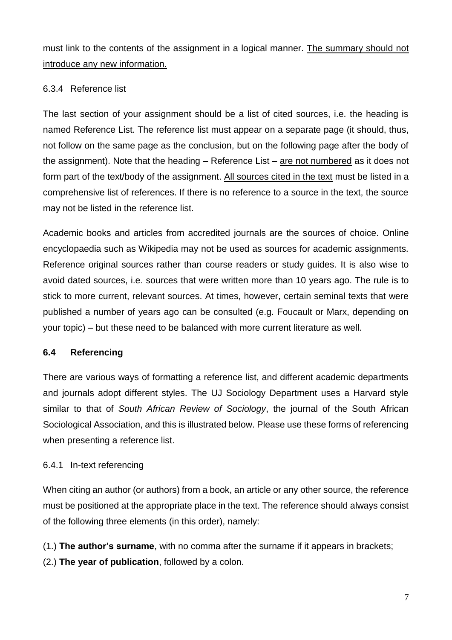must link to the contents of the assignment in a logical manner. The summary should not introduce any new information.

# 6.3.4 Reference list

The last section of your assignment should be a list of cited sources, i.e. the heading is named Reference List. The reference list must appear on a separate page (it should, thus, not follow on the same page as the conclusion, but on the following page after the body of the assignment). Note that the heading  $-$  Reference List  $-$  are not numbered as it does not form part of the text/body of the assignment. All sources cited in the text must be listed in a comprehensive list of references. If there is no reference to a source in the text, the source may not be listed in the reference list.

Academic books and articles from accredited journals are the sources of choice. Online encyclopaedia such as Wikipedia may not be used as sources for academic assignments. Reference original sources rather than course readers or study guides. It is also wise to avoid dated sources, i.e. sources that were written more than 10 years ago. The rule is to stick to more current, relevant sources. At times, however, certain seminal texts that were published a number of years ago can be consulted (e.g. Foucault or Marx, depending on your topic) – but these need to be balanced with more current literature as well.

# **6.4 Referencing**

There are various ways of formatting a reference list, and different academic departments and journals adopt different styles. The UJ Sociology Department uses a Harvard style similar to that of *South African Review of Sociology*, the journal of the South African Sociological Association, and this is illustrated below. Please use these forms of referencing when presenting a reference list.

# 6.4.1 In-text referencing

When citing an author (or authors) from a book, an article or any other source, the reference must be positioned at the appropriate place in the text. The reference should always consist of the following three elements (in this order), namely:

(1.) **The author's surname**, with no comma after the surname if it appears in brackets;

(2.) **The year of publication**, followed by a colon.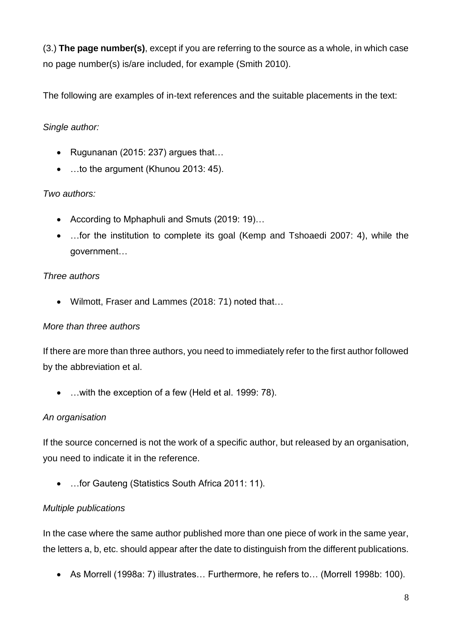(3.) **The page number(s)**, except if you are referring to the source as a whole, in which case no page number(s) is/are included, for example (Smith 2010).

The following are examples of in-text references and the suitable placements in the text:

# *Single author:*

- Rugunanan (2015: 237) argues that…
- ...to the argument (Khunou 2013: 45).

# *Two authors:*

- According to Mphaphuli and Smuts (2019: 19)…
- ... for the institution to complete its goal (Kemp and Tshoaedi 2007: 4), while the government…

# *Three authors*

Wilmott, Fraser and Lammes (2018: 71) noted that…

# *More than three authors*

If there are more than three authors, you need to immediately refer to the first author followed by the abbreviation et al.

…with the exception of a few (Held et al. 1999: 78).

# *An organisation*

If the source concerned is not the work of a specific author, but released by an organisation, you need to indicate it in the reference.

…for Gauteng (Statistics South Africa 2011: 11).

# *Multiple publications*

In the case where the same author published more than one piece of work in the same year, the letters a, b, etc. should appear after the date to distinguish from the different publications.

As Morrell (1998a: 7) illustrates… Furthermore, he refers to… (Morrell 1998b: 100).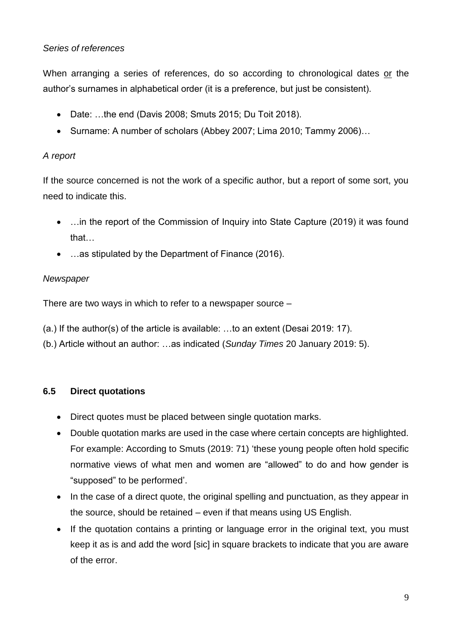# *Series of references*

When arranging a series of references, do so according to chronological dates or the author's surnames in alphabetical order (it is a preference, but just be consistent).

- Date: …the end (Davis 2008; Smuts 2015; Du Toit 2018).
- Surname: A number of scholars (Abbey 2007; Lima 2010; Tammy 2006)...

# *A report*

If the source concerned is not the work of a specific author, but a report of some sort, you need to indicate this.

- ... in the report of the Commission of Inquiry into State Capture (2019) it was found that…
- …as stipulated by the Department of Finance (2016).

# *Newspaper*

There are two ways in which to refer to a newspaper source –

- (a.) If the author(s) of the article is available: …to an extent (Desai 2019: 17).
- (b.) Article without an author: …as indicated (*Sunday Times* 20 January 2019: 5).

# **6.5 Direct quotations**

- Direct quotes must be placed between single quotation marks.
- Double quotation marks are used in the case where certain concepts are highlighted. For example: According to Smuts (2019: 71) 'these young people often hold specific normative views of what men and women are "allowed" to do and how gender is "supposed" to be performed'.
- In the case of a direct quote, the original spelling and punctuation, as they appear in the source, should be retained – even if that means using US English.
- If the quotation contains a printing or language error in the original text, you must keep it as is and add the word [sic] in square brackets to indicate that you are aware of the error.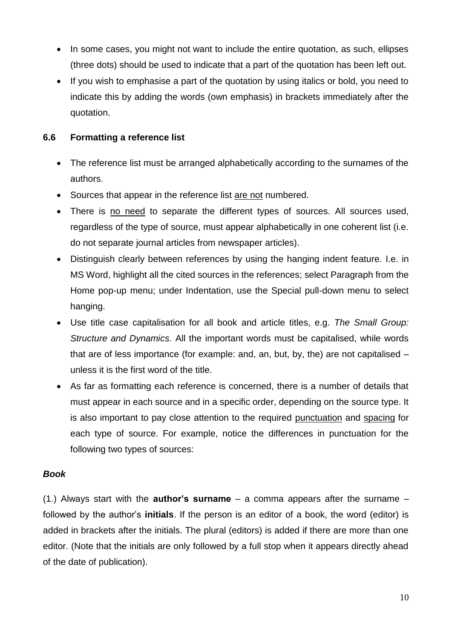- In some cases, you might not want to include the entire quotation, as such, ellipses (three dots) should be used to indicate that a part of the quotation has been left out.
- If you wish to emphasise a part of the quotation by using italics or bold, you need to indicate this by adding the words (own emphasis) in brackets immediately after the quotation.

# **6.6 Formatting a reference list**

- The reference list must be arranged alphabetically according to the surnames of the authors.
- Sources that appear in the reference list are not numbered.
- There is no need to separate the different types of sources. All sources used, regardless of the type of source, must appear alphabetically in one coherent list (i.e. do not separate journal articles from newspaper articles).
- Distinguish clearly between references by using the hanging indent feature. I.e. in MS Word, highlight all the cited sources in the references; select Paragraph from the Home pop-up menu; under Indentation, use the Special pull-down menu to select hanging.
- Use title case capitalisation for all book and article titles, e.g. *The Small Group: Structure and Dynamics.* All the important words must be capitalised, while words that are of less importance (for example: and, an, but, by, the) are not capitalised – unless it is the first word of the title.
- As far as formatting each reference is concerned, there is a number of details that must appear in each source and in a specific order, depending on the source type. It is also important to pay close attention to the required punctuation and spacing for each type of source. For example, notice the differences in punctuation for the following two types of sources:

#### *Book*

(1.) Always start with the **author's surname** – a comma appears after the surname – followed by the author's **initials**. If the person is an editor of a book, the word (editor) is added in brackets after the initials. The plural (editors) is added if there are more than one editor. (Note that the initials are only followed by a full stop when it appears directly ahead of the date of publication).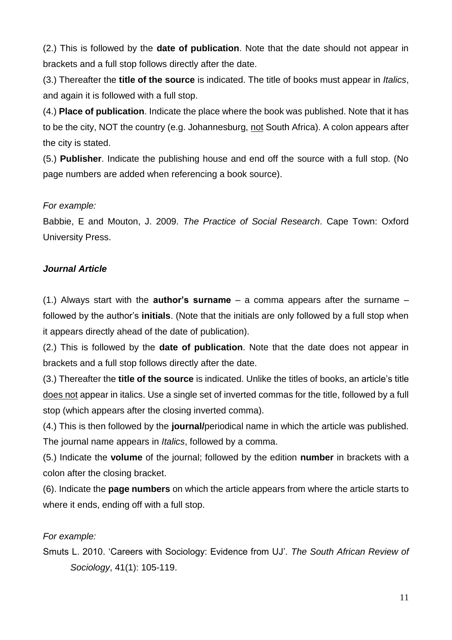(2.) This is followed by the **date of publication**. Note that the date should not appear in brackets and a full stop follows directly after the date.

(3.) Thereafter the **title of the source** is indicated. The title of books must appear in *Italics*, and again it is followed with a full stop.

(4.) **Place of publication**. Indicate the place where the book was published. Note that it has to be the city, NOT the country (e.g. Johannesburg, not South Africa). A colon appears after the city is stated.

(5.) **Publisher**. Indicate the publishing house and end off the source with a full stop. (No page numbers are added when referencing a book source).

#### *For example:*

Babbie, E and Mouton, J. 2009. *The Practice of Social Research*. Cape Town: Oxford University Press.

# *Journal Article*

(1.) Always start with the **author's surname** – a comma appears after the surname – followed by the author's **initials**. (Note that the initials are only followed by a full stop when it appears directly ahead of the date of publication).

(2.) This is followed by the **date of publication**. Note that the date does not appear in brackets and a full stop follows directly after the date.

(3.) Thereafter the **title of the source** is indicated. Unlike the titles of books, an article's title does not appear in italics. Use a single set of inverted commas for the title, followed by a full stop (which appears after the closing inverted comma).

(4.) This is then followed by the **journal/**periodical name in which the article was published. The journal name appears in *Italics*, followed by a comma.

(5.) Indicate the **volume** of the journal; followed by the edition **number** in brackets with a colon after the closing bracket.

(6). Indicate the **page numbers** on which the article appears from where the article starts to where it ends, ending off with a full stop.

# *For example:*

Smuts L. 2010. 'Careers with Sociology: Evidence from UJ'. *The South African Review of Sociology*, 41(1): 105-119.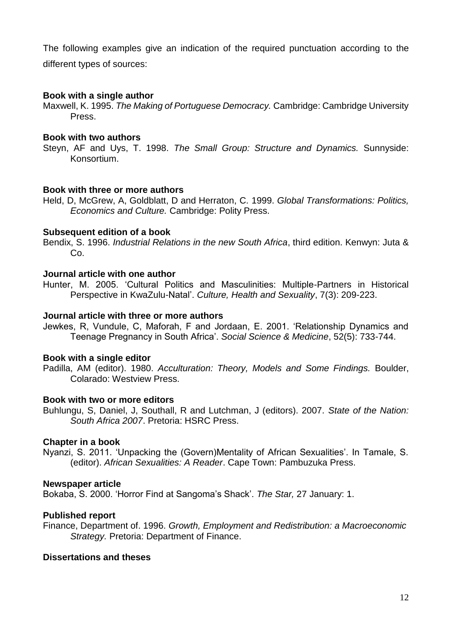The following examples give an indication of the required punctuation according to the different types of sources:

#### **Book with a single author**

Maxwell, K. 1995. *The Making of Portuguese Democracy.* Cambridge: Cambridge University Press.

#### **Book with two authors**

Steyn, AF and Uys, T. 1998. *The Small Group: Structure and Dynamics.* Sunnyside: Konsortium.

#### **Book with three or more authors**

Held, D, McGrew, A, Goldblatt, D and Herraton, C. 1999. *Global Transformations: Politics, Economics and Culture.* Cambridge: Polity Press.

#### **Subsequent edition of a book**

Bendix, S. 1996. *Industrial Relations in the new South Africa*, third edition. Kenwyn: Juta & Co.

#### **Journal article with one author**

Hunter, M. 2005. 'Cultural Politics and Masculinities: Multiple-Partners in Historical Perspective in KwaZulu-Natal'. *Culture, Health and Sexuality*, 7(3): 209-223.

#### **Journal article with three or more authors**

Jewkes, R, Vundule, C, Maforah, F and Jordaan, E. 2001. 'Relationship Dynamics and Teenage Pregnancy in South Africa'. *Social Science & Medicine*, 52(5): 733-744.

#### **Book with a single editor**

Padilla, AM (editor). 1980. *Acculturation: Theory, Models and Some Findings.* Boulder, Colarado: Westview Press.

#### **Book with two or more editors**

Buhlungu, S, Daniel, J, Southall, R and Lutchman, J (editors). 2007. *State of the Nation: South Africa 2007*. Pretoria: HSRC Press.

#### **Chapter in a book**

Nyanzi, S. 2011. 'Unpacking the (Govern)Mentality of African Sexualities'. In Tamale, S. (editor). *African Sexualities: A Reader*. Cape Town: Pambuzuka Press.

#### **Newspaper article**

Bokaba, S. 2000. 'Horror Find at Sangoma's Shack'. *The Star,* 27 January: 1.

#### **Published report**

Finance, Department of. 1996. *Growth, Employment and Redistribution: a Macroeconomic Strategy.* Pretoria: Department of Finance.

#### **Dissertations and theses**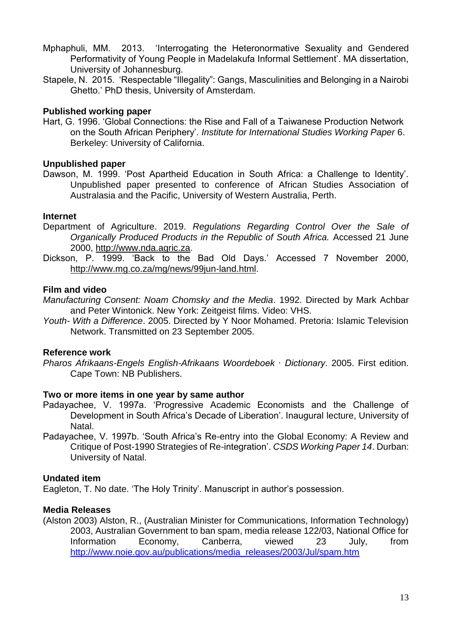- Mphaphuli, MM. 2013. 'Interrogating the Heteronormative Sexuality and Gendered Performativity of Young People in Madelakufa Informal Settlement'. MA dissertation, University of Johannesburg.
- Stapele, N. 2015. 'Respectable "Illegality": Gangs, Masculinities and Belonging in a Nairobi Ghetto.' PhD thesis, University of Amsterdam.

# **Published working paper**

Hart, G. 1996. 'Global Connections: the Rise and Fall of a Taiwanese Production Network on the South African Periphery'. *Institute for International Studies Working Paper* 6. Berkeley: University of California.

#### **Unpublished paper**

Dawson, M. 1999. 'Post Apartheid Education in South Africa: a Challenge to Identity'. Unpublished paper presented to conference of African Studies Association of Australasia and the Pacific, University of Western Australia, Perth.

#### **Internet**

- Department of Agriculture. 2019. *Regulations Regarding Control Over the Sale of Organically Produced Products in the Republic of South Africa.* Accessed 21 June 2000, [http://www.nda.agric.za.](http://www.nda.agric.za/)
- Dickson, P. 1999. 'Back to the Bad Old Days.' Accessed 7 November 2000, [http://www.mg.co.za/mg/news/99jun-land.html.](http://www.nda.agric.za/)

#### **Film and video**

*Manufacturing Consent: Noam Chomsky and the Media*. 1992. Directed by Mark Achbar and Peter Wintonick. New York: Zeitgeist films. Video: VHS.

*Youth- With a Difference*. 2005. Directed by Y Noor Mohamed. Pretoria: Islamic Television Network. Transmitted on 23 September 2005.

#### **Reference work**

*Pharos Afrikaans-Engels English-Afrikaans Woordeboek ∙ Dictionary*. 2005. First edition. Cape Town: NB Publishers.

#### **Two or more items in one year by same author**

- Padayachee, V. 1997a. 'Progressive Academic Economists and the Challenge of Development in South Africa's Decade of Liberation'. Inaugural lecture, University of Natal.
- Padayachee, V. 1997b. 'South Africa's Re-entry into the Global Economy: A Review and Critique of Post-1990 Strategies of Re-integration'. *CSDS Working Paper 14*. Durban: University of Natal.

#### **Undated item**

Eagleton, T. No date. 'The Holy Trinity'. Manuscript in author's possession.

#### **Media Releases**

(Alston 2003) Alston, R., (Australian Minister for Communications, Information Technology) 2003, Australian Government to ban spam, media release 122/03, National Office for Information Economy, Canberra, viewed 23 July, from [http://www.noie.gov.au/publications/media\\_releases/2003/Jul/spam.htm](http://www.noie.gov.au/publications/media_releases/2003/Jul/spam.htm)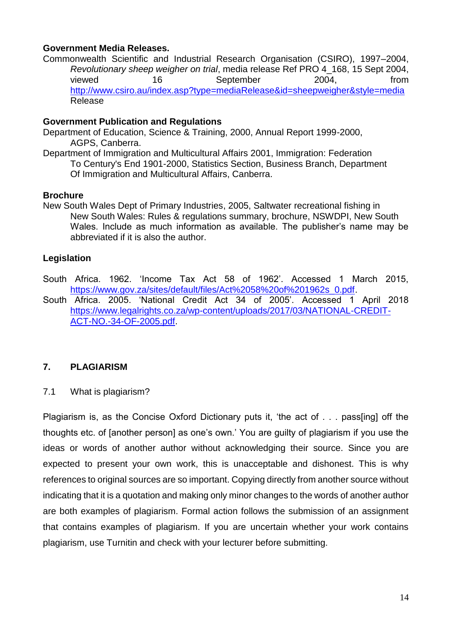#### **Government Media Releases.**

Commonwealth Scientific and Industrial Research Organisation (CSIRO), 1997–2004, *Revolutionary sheep weigher on trial*, media release Ref PRO 4\_168, 15 Sept 2004, viewed 16 September 2004. from <http://www.csiro.au/index.asp?type=mediaRelease&id=sheepweigher&style=media> Release

#### **Government Publication and Regulations**

- Department of Education, Science & Training, 2000, Annual Report 1999-2000, AGPS, Canberra.
- Department of Immigration and Multicultural Affairs 2001, Immigration: Federation To Century's End 1901-2000, Statistics Section, Business Branch, Department Of Immigration and Multicultural Affairs, Canberra.

#### **Brochure**

New South Wales Dept of Primary Industries, 2005, Saltwater recreational fishing in New South Wales: Rules & regulations summary, brochure, NSWDPI, New South Wales. Include as much information as available. The publisher's name may be abbreviated if it is also the author.

#### **Legislation**

- South Africa. 1962. 'Income Tax Act 58 of 1962'. Accessed 1 March 2015, [https://www.gov.za/sites/default/files/Act%2058%20of%201962s\\_0.pdf.](https://www.gov.za/sites/default/files/Act%2058%20of%201962s_0.pdf)
- South Africa. 2005. 'National Credit Act 34 of 2005'. Accessed 1 April 2018 [https://www.legalrights.co.za/wp-content/uploads/2017/03/NATIONAL-CREDIT-](https://www.legalrights.co.za/wp-content/uploads/2017/03/NATIONAL-CREDIT-ACT-NO.-34-OF-2005.pdf)[ACT-NO.-34-OF-2005.pdf.](https://www.legalrights.co.za/wp-content/uploads/2017/03/NATIONAL-CREDIT-ACT-NO.-34-OF-2005.pdf)

# **7. PLAGIARISM**

7.1 What is plagiarism?

Plagiarism is, as the Concise Oxford Dictionary puts it, 'the act of . . . pass[ing] off the thoughts etc. of [another person] as one's own.' You are guilty of plagiarism if you use the ideas or words of another author without acknowledging their source. Since you are expected to present your own work, this is unacceptable and dishonest. This is why references to original sources are so important. Copying directly from another source without indicating that it is a quotation and making only minor changes to the words of another author are both examples of plagiarism. Formal action follows the submission of an assignment that contains examples of plagiarism. If you are uncertain whether your work contains plagiarism, use Turnitin and check with your lecturer before submitting.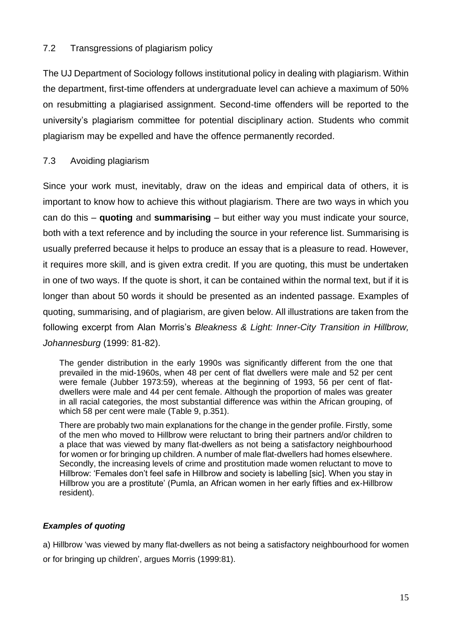# 7.2 Transgressions of plagiarism policy

The UJ Department of Sociology follows institutional policy in dealing with plagiarism. Within the department, first-time offenders at undergraduate level can achieve a maximum of 50% on resubmitting a plagiarised assignment. Second-time offenders will be reported to the university's plagiarism committee for potential disciplinary action. Students who commit plagiarism may be expelled and have the offence permanently recorded.

# 7.3 Avoiding plagiarism

Since your work must, inevitably, draw on the ideas and empirical data of others, it is important to know how to achieve this without plagiarism. There are two ways in which you can do this – **quoting** and **summarising** – but either way you must indicate your source, both with a text reference and by including the source in your reference list. Summarising is usually preferred because it helps to produce an essay that is a pleasure to read. However, it requires more skill, and is given extra credit. If you are quoting, this must be undertaken in one of two ways. If the quote is short, it can be contained within the normal text, but if it is longer than about 50 words it should be presented as an indented passage. Examples of quoting, summarising, and of plagiarism, are given below. All illustrations are taken from the following excerpt from Alan Morris's *Bleakness & Light: Inner-City Transition in Hillbrow, Johannesburg* (1999: 81-82).

The gender distribution in the early 1990s was significantly different from the one that prevailed in the mid-1960s, when 48 per cent of flat dwellers were male and 52 per cent were female (Jubber 1973:59), whereas at the beginning of 1993, 56 per cent of flatdwellers were male and 44 per cent female. Although the proportion of males was greater in all racial categories, the most substantial difference was within the African grouping, of which 58 per cent were male (Table 9, p.351).

There are probably two main explanations for the change in the gender profile. Firstly, some of the men who moved to Hillbrow were reluctant to bring their partners and/or children to a place that was viewed by many flat-dwellers as not being a satisfactory neighbourhood for women or for bringing up children. A number of male flat-dwellers had homes elsewhere. Secondly, the increasing levels of crime and prostitution made women reluctant to move to Hillbrow: 'Females don't feel safe in Hillbrow and society is labelling [sic]. When you stay in Hillbrow you are a prostitute' (Pumla, an African women in her early fifties and ex-Hillbrow resident).

# *Examples of quoting*

a) Hillbrow 'was viewed by many flat-dwellers as not being a satisfactory neighbourhood for women or for bringing up children', argues Morris (1999:81).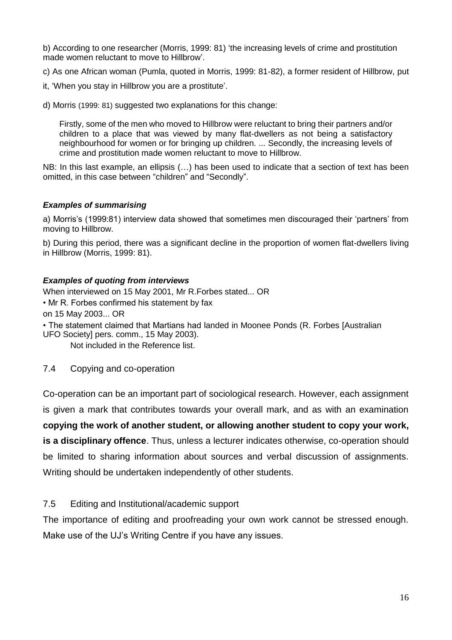b) According to one researcher (Morris, 1999: 81) 'the increasing levels of crime and prostitution made women reluctant to move to Hillbrow'.

c) As one African woman (Pumla, quoted in Morris, 1999: 81-82), a former resident of Hillbrow, put

it, 'When you stay in Hillbrow you are a prostitute'.

d) Morris (1999: 81) suggested two explanations for this change:

Firstly, some of the men who moved to Hillbrow were reluctant to bring their partners and/or children to a place that was viewed by many flat-dwellers as not being a satisfactory neighbourhood for women or for bringing up children. ... Secondly, the increasing levels of crime and prostitution made women reluctant to move to Hillbrow.

NB: In this last example, an ellipsis (…) has been used to indicate that a section of text has been omitted, in this case between "children" and "Secondly".

#### *Examples of summarising*

a) Morris's (1999:81) interview data showed that sometimes men discouraged their 'partners' from moving to Hillbrow.

b) During this period, there was a significant decline in the proportion of women flat-dwellers living in Hillbrow (Morris, 1999: 81).

#### *Examples of quoting from interviews*

When interviewed on 15 May 2001, Mr R.Forbes stated... OR • Mr R. Forbes confirmed his statement by fax on 15 May 2003... OR • The statement claimed that Martians had landed in Moonee Ponds (R. Forbes [Australian

UFO Society] pers. comm., 15 May 2003).

Not included in the Reference list.

#### 7.4 Copying and co-operation

Co-operation can be an important part of sociological research. However, each assignment is given a mark that contributes towards your overall mark, and as with an examination

**copying the work of another student, or allowing another student to copy your work, is a disciplinary offence**. Thus, unless a lecturer indicates otherwise, co-operation should be limited to sharing information about sources and verbal discussion of assignments. Writing should be undertaken independently of other students.

#### 7.5 Editing and Institutional/academic support

The importance of editing and proofreading your own work cannot be stressed enough. Make use of the UJ's Writing Centre if you have any issues.